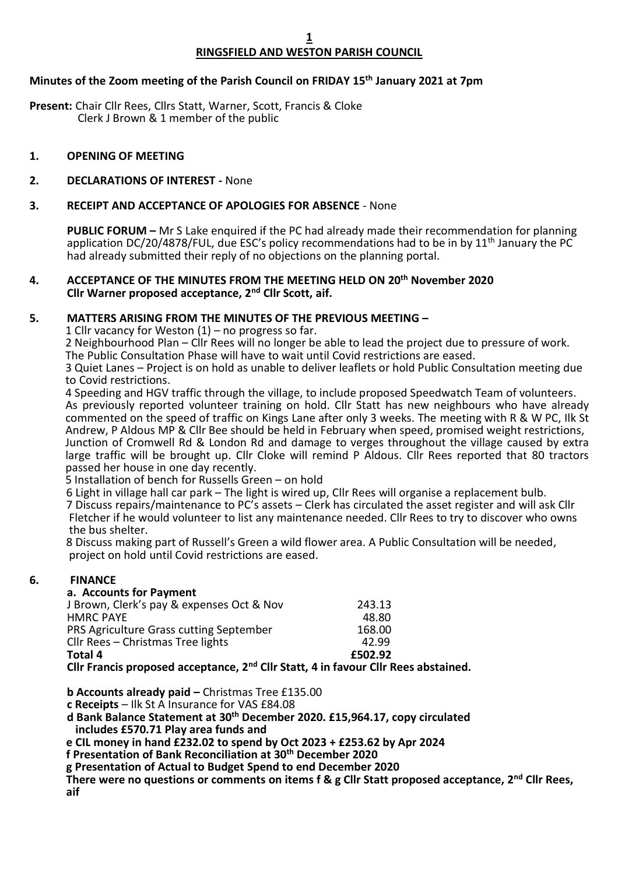# **RINGSFIELD AND WESTON PARISH COUNCIL**

## **Minutes of the Zoom meeting of the Parish Council on FRIDAY 15th January 2021 at 7pm**

**Present:** Chair Cllr Rees, Cllrs Statt, Warner, Scott, Francis & Cloke Clerk J Brown & 1 member of the public

## **1. OPENING OF MEETING**

#### **2. DECLARATIONS OF INTEREST -** None

### **3. RECEIPT AND ACCEPTANCE OF APOLOGIES FOR ABSENCE** - None

**PUBLIC FORUM –** Mr S Lake enquired if the PC had already made their recommendation for planning application DC/20/4878/FUL, due ESC's policy recommendations had to be in by 11<sup>th</sup> January the PC had already submitted their reply of no objections on the planning portal.

#### **4. ACCEPTANCE OF THE MINUTES FROM THE MEETING HELD ON 20th November 2020 Cllr Warner proposed acceptance, 2nd Cllr Scott, aif.**

#### **5. MATTERS ARISING FROM THE MINUTES OF THE PREVIOUS MEETING –**

1 Cllr vacancy for Weston (1) – no progress so far.

2 Neighbourhood Plan – Cllr Rees will no longer be able to lead the project due to pressure of work. The Public Consultation Phase will have to wait until Covid restrictions are eased.

3 Quiet Lanes – Project is on hold as unable to deliver leaflets or hold Public Consultation meeting due to Covid restrictions.

4 Speeding and HGV traffic through the village, to include proposed Speedwatch Team of volunteers. As previously reported volunteer training on hold. Cllr Statt has new neighbours who have already commented on the speed of traffic on Kings Lane after only 3 weeks. The meeting with R & W PC, Ilk St Andrew, P Aldous MP & Cllr Bee should be held in February when speed, promised weight restrictions, Junction of Cromwell Rd & London Rd and damage to verges throughout the village caused by extra large traffic will be brought up. Cllr Cloke will remind P Aldous. Cllr Rees reported that 80 tractors passed her house in one day recently.

5 Installation of bench for Russells Green – on hold

6 Light in village hall car park – The light is wired up, Cllr Rees will organise a replacement bulb.

 7 Discuss repairs/maintenance to PC's assets – Clerk has circulated the asset register and will ask Cllr Fletcher if he would volunteer to list any maintenance needed. Cllr Rees to try to discover who owns the bus shelter.

 8 Discuss making part of Russell's Green a wild flower area. A Public Consultation will be needed, project on hold until Covid restrictions are eased.

## **6. FINANCE**

#### **a. Accounts for Payment**

| Clly Exangic proposed accontance, 3 <sup>nd</sup> Clly Statt, 4 in fougur Clly Boos abstai |         |
|--------------------------------------------------------------------------------------------|---------|
| Total 4                                                                                    | £502.92 |
| Cllr Rees - Christmas Tree lights                                                          | 42.99   |
| PRS Agriculture Grass cutting September                                                    | 168.00  |
| <b>HMRC PAYE</b>                                                                           | 48.80   |
| J Brown, Clerk's pay & expenses Oct & Nov                                                  | 243.13  |
|                                                                                            |         |

**CIIr Francis proposed acceptance, 2<sup>nd</sup> CIIr Statt, 4 in favour CIIr Rees abstained.** 

**b Accounts already paid –** Christmas Tree £135.00

**c Receipts** – Ilk St A Insurance for VAS £84.08

**d Bank Balance Statement at 30th December 2020. £15,964.17, copy circulated includes £570.71 Play area funds and**

 **e CIL money in hand £232.02 to spend by Oct 2023 + £253.62 by Apr 2024**

 **f Presentation of Bank Reconciliation at 30th December 2020**

 **g Presentation of Actual to Budget Spend to end December 2020**

 **There were no questions or comments on items f & g Cllr Statt proposed acceptance, 2nd Cllr Rees, aif**